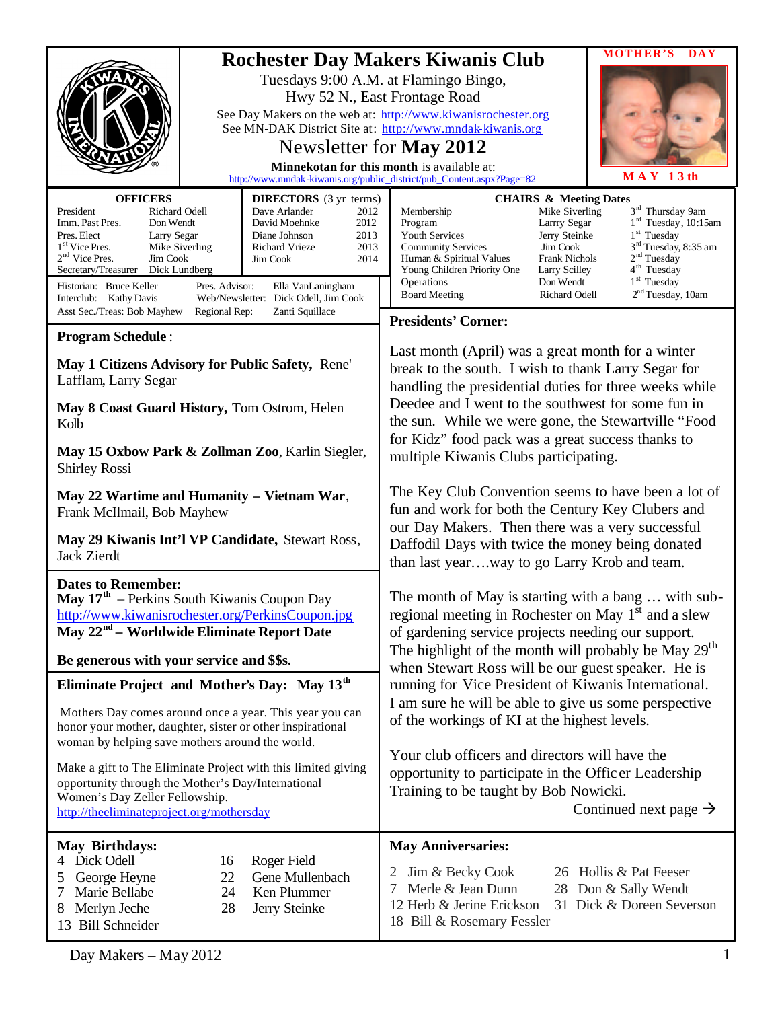|                                                                                                                                                                                                                                                                                                            |                                                                                                                                                                                                                                                                                                                                                                                                    |                                                                                                                                                                                                                                                                                                                                                                                                                                                                                                                                               | <b>MOTHER'S</b><br><b>DAY</b>                                                                                                                                                                                                                                                                                                                                                                            |
|------------------------------------------------------------------------------------------------------------------------------------------------------------------------------------------------------------------------------------------------------------------------------------------------------------|----------------------------------------------------------------------------------------------------------------------------------------------------------------------------------------------------------------------------------------------------------------------------------------------------------------------------------------------------------------------------------------------------|-----------------------------------------------------------------------------------------------------------------------------------------------------------------------------------------------------------------------------------------------------------------------------------------------------------------------------------------------------------------------------------------------------------------------------------------------------------------------------------------------------------------------------------------------|----------------------------------------------------------------------------------------------------------------------------------------------------------------------------------------------------------------------------------------------------------------------------------------------------------------------------------------------------------------------------------------------------------|
|                                                                                                                                                                                                                                                                                                            | <b>Rochester Day Makers Kiwanis Club</b><br>Tuesdays 9:00 A.M. at Flamingo Bingo,<br>Hwy 52 N., East Frontage Road<br>See Day Makers on the web at: http://www.kiwanisrochester.org<br>See MN-DAK District Site at: http://www.mndak-kiwanis.org<br>Newsletter for May 2012<br>Minnekotan for this month is available at:<br>http://www.mndak-kiwanis.org/public_district/pub_Content.aspx?Page=82 | $MAY$ 13th                                                                                                                                                                                                                                                                                                                                                                                                                                                                                                                                    |                                                                                                                                                                                                                                                                                                                                                                                                          |
|                                                                                                                                                                                                                                                                                                            |                                                                                                                                                                                                                                                                                                                                                                                                    |                                                                                                                                                                                                                                                                                                                                                                                                                                                                                                                                               |                                                                                                                                                                                                                                                                                                                                                                                                          |
| <b>OFFICERS</b><br>President<br>Richard Odell<br>Imm. Past Pres.<br>Don Wendt<br>Pres. Elect<br>Larry Segar<br>1 <sup>st</sup> Vice Pres.<br>Mike Siverling<br>$2nd$ Vice Pres.<br>Jim Cook<br>Secretary/Treasurer<br>Dick Lundberg<br>Historian: Bruce Keller<br>Pres. Advisor:<br>Interclub: Kathy Davis | <b>DIRECTORS</b> (3 yr terms)<br>Dave Arlander<br>2012<br>David Moehnke<br>2012<br>Diane Johnson<br>2013<br>2013<br>Richard Vrieze<br>Jim Cook<br>2014<br>Ella VanLaningham<br>Web/Newsletter: Dick Odell, Jim Cook                                                                                                                                                                                | Membership<br>Program<br>Youth Services<br><b>Community Services</b><br>Human & Spiritual Values<br>Young Children Priority One<br>Operations<br><b>Board Meeting</b>                                                                                                                                                                                                                                                                                                                                                                         | <b>CHAIRS &amp; Meeting Dates</b><br>3 <sup>rd</sup> Thursday 9am<br>Mike Siverling<br>$1rd$ Tuesday, 10:15am<br>Larrry Segar<br>$1st$ Tuesday<br>Jerry Steinke<br>3 <sup>rd</sup> Tuesday, 8:35 am<br>Jim Cook<br>2 <sup>nd</sup> Tuesday<br><b>Frank Nichols</b><br>4 <sup>th</sup> Tuesday<br>Larry Scilley<br>1 <sup>st</sup> Tuesday<br>Don Wendt<br>2 <sup>nd</sup> Tuesday, 10am<br>Richard Odell |
| Asst Sec./Treas: Bob Mayhew<br>Regional Rep:                                                                                                                                                                                                                                                               | Zanti Squillace                                                                                                                                                                                                                                                                                                                                                                                    | <b>Presidents' Corner:</b>                                                                                                                                                                                                                                                                                                                                                                                                                                                                                                                    |                                                                                                                                                                                                                                                                                                                                                                                                          |
| <b>Program Schedule:</b>                                                                                                                                                                                                                                                                                   |                                                                                                                                                                                                                                                                                                                                                                                                    |                                                                                                                                                                                                                                                                                                                                                                                                                                                                                                                                               |                                                                                                                                                                                                                                                                                                                                                                                                          |
| May 1 Citizens Advisory for Public Safety, Rene'<br>Lafflam, Larry Segar<br>May 8 Coast Guard History, Tom Ostrom, Helen<br>Kolb                                                                                                                                                                           |                                                                                                                                                                                                                                                                                                                                                                                                    | Last month (April) was a great month for a winter<br>break to the south. I wish to thank Larry Segar for<br>handling the presidential duties for three weeks while<br>Deedee and I went to the southwest for some fun in<br>the sun. While we were gone, the Stewartville "Food<br>for Kidz" food pack was a great success thanks to<br>multiple Kiwanis Clubs participating.<br>The Key Club Convention seems to have been a lot of<br>fun and work for both the Century Key Clubers and<br>our Day Makers. Then there was a very successful |                                                                                                                                                                                                                                                                                                                                                                                                          |
| May 15 Oxbow Park & Zollman Zoo, Karlin Siegler,<br><b>Shirley Rossi</b>                                                                                                                                                                                                                                   |                                                                                                                                                                                                                                                                                                                                                                                                    |                                                                                                                                                                                                                                                                                                                                                                                                                                                                                                                                               |                                                                                                                                                                                                                                                                                                                                                                                                          |
| May 22 Wartime and Humanity - Vietnam War,<br>Frank McIlmail, Bob Mayhew                                                                                                                                                                                                                                   |                                                                                                                                                                                                                                                                                                                                                                                                    |                                                                                                                                                                                                                                                                                                                                                                                                                                                                                                                                               |                                                                                                                                                                                                                                                                                                                                                                                                          |
| May 29 Kiwanis Int'l VP Candidate, Stewart Ross,<br>Jack Zierdt                                                                                                                                                                                                                                            |                                                                                                                                                                                                                                                                                                                                                                                                    | Daffodil Days with twice the money being donated<br>than last yearway to go Larry Krob and team.                                                                                                                                                                                                                                                                                                                                                                                                                                              |                                                                                                                                                                                                                                                                                                                                                                                                          |
| <b>Dates to Remember:</b><br><b>May 17th</b> – Perkins South Kiwanis Coupon Day<br>http://www.kiwanisrochester.org/PerkinsCoupon.jpg<br>May 22 <sup>nd</sup> – Worldwide Eliminate Report Date                                                                                                             |                                                                                                                                                                                                                                                                                                                                                                                                    | The month of May is starting with a bang  with sub-<br>regional meeting in Rochester on May 1 <sup>st</sup> and a slew<br>of gardening service projects needing our support.                                                                                                                                                                                                                                                                                                                                                                  |                                                                                                                                                                                                                                                                                                                                                                                                          |
| Be generous with your service and \$\$s.                                                                                                                                                                                                                                                                   |                                                                                                                                                                                                                                                                                                                                                                                                    | The highlight of the month will probably be May 29 <sup>th</sup><br>when Stewart Ross will be our guest speaker. He is<br>running for Vice President of Kiwanis International.                                                                                                                                                                                                                                                                                                                                                                |                                                                                                                                                                                                                                                                                                                                                                                                          |
| Eliminate Project and Mother's Day: May 13 <sup>th</sup>                                                                                                                                                                                                                                                   |                                                                                                                                                                                                                                                                                                                                                                                                    |                                                                                                                                                                                                                                                                                                                                                                                                                                                                                                                                               |                                                                                                                                                                                                                                                                                                                                                                                                          |
| Mothers Day comes around once a year. This year you can<br>honor your mother, daughter, sister or other inspirational<br>woman by helping save mothers around the world.                                                                                                                                   |                                                                                                                                                                                                                                                                                                                                                                                                    | I am sure he will be able to give us some perspective<br>of the workings of KI at the highest levels.                                                                                                                                                                                                                                                                                                                                                                                                                                         |                                                                                                                                                                                                                                                                                                                                                                                                          |
| Make a gift to The Eliminate Project with this limited giving<br>opportunity through the Mother's Day/International<br>Women's Day Zeller Fellowship.<br>http://theeliminateproject.org/mothersday                                                                                                         |                                                                                                                                                                                                                                                                                                                                                                                                    | Your club officers and directors will have the<br>opportunity to participate in the Officer Leadership<br>Training to be taught by Bob Nowicki.<br>Continued next page $\rightarrow$                                                                                                                                                                                                                                                                                                                                                          |                                                                                                                                                                                                                                                                                                                                                                                                          |
| <b>May Birthdays:</b>                                                                                                                                                                                                                                                                                      |                                                                                                                                                                                                                                                                                                                                                                                                    | <b>May Anniversaries:</b>                                                                                                                                                                                                                                                                                                                                                                                                                                                                                                                     |                                                                                                                                                                                                                                                                                                                                                                                                          |
| 4 Dick Odell<br>16<br>George Heyne<br>22<br>5<br>7<br>Marie Bellabe<br>24<br>Merlyn Jeche<br>28<br>8<br>13 Bill Schneider                                                                                                                                                                                  | Roger Field<br>Gene Mullenbach<br>Ken Plummer<br>Jerry Steinke                                                                                                                                                                                                                                                                                                                                     | Jim & Becky Cook<br>Merle & Jean Dunn<br>7<br>12 Herb & Jerine Erickson<br>18 Bill & Rosemary Fessler                                                                                                                                                                                                                                                                                                                                                                                                                                         | 26 Hollis & Pat Feeser<br>28 Don & Sally Wendt<br>31 Dick & Doreen Severson                                                                                                                                                                                                                                                                                                                              |

Day Makers – May 2012 1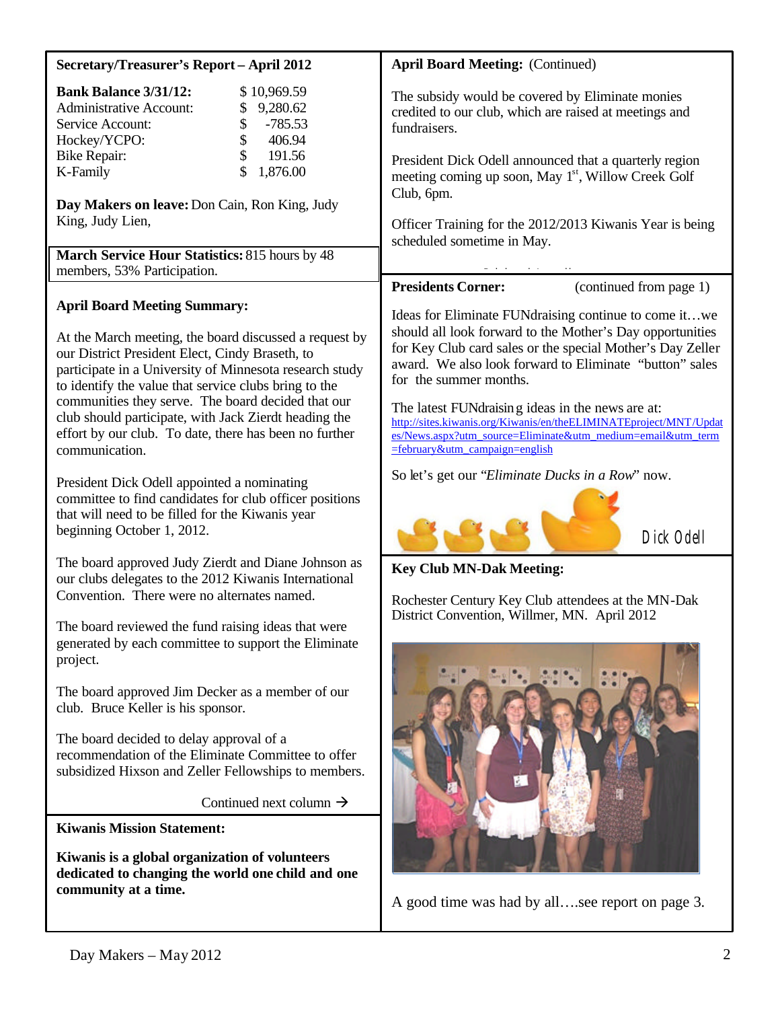| Secretary/Treasurer's Report - April 2012                                                                                                                                                                                                                            | <b>April Board Meeting: (Continued)</b>                                                                                                                                                                                                                               |  |
|----------------------------------------------------------------------------------------------------------------------------------------------------------------------------------------------------------------------------------------------------------------------|-----------------------------------------------------------------------------------------------------------------------------------------------------------------------------------------------------------------------------------------------------------------------|--|
| <b>Bank Balance 3/31/12:</b><br>\$10,969.59<br><b>Administrative Account:</b><br>9,280.62<br>$-785.53$<br>Service Account:<br>\$<br>\$<br>Hockey/YCPO:<br>406.94<br>\$<br>191.56<br><b>Bike Repair:</b><br>\$<br>1,876.00<br>K-Family                                | The subsidy would be covered by Eliminate monies<br>credited to our club, which are raised at meetings and<br>fundraisers.<br>President Dick Odell announced that a quarterly region<br>meeting coming up soon, May 1 <sup>st</sup> , Willow Creek Golf               |  |
| Day Makers on leave: Don Cain, Ron King, Judy<br>King, Judy Lien,<br>March Service Hour Statistics: 815 hours by 48                                                                                                                                                  | Club, 6pm.<br>Officer Training for the 2012/2013 Kiwanis Year is being<br>scheduled sometime in May.                                                                                                                                                                  |  |
| members, 53% Participation.                                                                                                                                                                                                                                          | <b>Presidents Corner:</b><br>(continued from page 1)                                                                                                                                                                                                                  |  |
| <b>April Board Meeting Summary:</b><br>At the March meeting, the board discussed a request by<br>our District President Elect, Cindy Braseth, to<br>participate in a University of Minnesota research study<br>to identify the value that service clubs bring to the | Ideas for Eliminate FUNdraising continue to come itwe<br>should all look forward to the Mother's Day opportunities<br>for Key Club card sales or the special Mother's Day Zeller<br>award. We also look forward to Eliminate "button" sales<br>for the summer months. |  |
| communities they serve. The board decided that our<br>club should participate, with Jack Zierdt heading the<br>effort by our club. To date, there has been no further<br>communication.                                                                              | The latest FUNdraising ideas in the news are at:<br>http://sites.kiwanis.org/Kiwanis/en/theELIMINATEproject/MNT/Updat<br>es/News.aspx?utm_source=Eliminate&utm_medium=email&utm_term<br><u> =february&amp;utm_campaign=english</u>                                    |  |
| President Dick Odell appointed a nominating<br>committee to find candidates for club officer positions<br>that will need to be filled for the Kiwanis year<br>beginning October 1, 2012.                                                                             | So let's get our "Eliminate Ducks in a Row" now.<br>Dick Odell                                                                                                                                                                                                        |  |
| The board approved Judy Zierdt and Diane Johnson as<br>our clubs delegates to the 2012 Kiwanis International<br>Convention. There were no alternates named.                                                                                                          | <b>Key Club MN-Dak Meeting:</b><br>Rochester Century Key Club attendees at the MN-Dak                                                                                                                                                                                 |  |
| The board reviewed the fund raising ideas that were<br>generated by each committee to support the Eliminate<br>project.                                                                                                                                              | District Convention, Willmer, MN. April 2012                                                                                                                                                                                                                          |  |
| The board approved Jim Decker as a member of our<br>club. Bruce Keller is his sponsor.                                                                                                                                                                               |                                                                                                                                                                                                                                                                       |  |
| The board decided to delay approval of a<br>recommendation of the Eliminate Committee to offer<br>subsidized Hixson and Zeller Fellowships to members.                                                                                                               |                                                                                                                                                                                                                                                                       |  |
| Continued next column $\rightarrow$                                                                                                                                                                                                                                  | A good time was had by allsee report on page 3.                                                                                                                                                                                                                       |  |
| <b>Kiwanis Mission Statement:</b>                                                                                                                                                                                                                                    |                                                                                                                                                                                                                                                                       |  |
| Kiwanis is a global organization of volunteers<br>dedicated to changing the world one child and one<br>community at a time.                                                                                                                                          |                                                                                                                                                                                                                                                                       |  |
|                                                                                                                                                                                                                                                                      |                                                                                                                                                                                                                                                                       |  |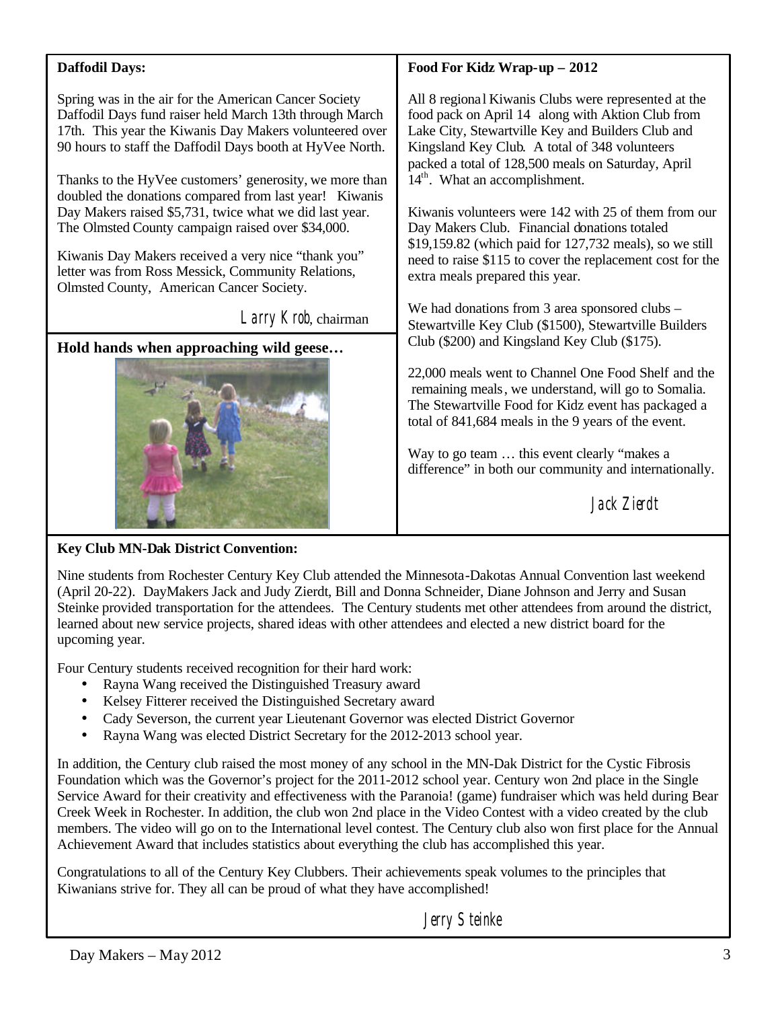| <b>Daffodil Days:</b>                                                                                                                                                                                                                                                                                                                                                                                                                                                                                                                                                                      | Food For Kidz Wrap-up - 2012                                                                                                                                                                                                                                                                                                                                                                                                                                                                                                                                                 |  |
|--------------------------------------------------------------------------------------------------------------------------------------------------------------------------------------------------------------------------------------------------------------------------------------------------------------------------------------------------------------------------------------------------------------------------------------------------------------------------------------------------------------------------------------------------------------------------------------------|------------------------------------------------------------------------------------------------------------------------------------------------------------------------------------------------------------------------------------------------------------------------------------------------------------------------------------------------------------------------------------------------------------------------------------------------------------------------------------------------------------------------------------------------------------------------------|--|
| Spring was in the air for the American Cancer Society<br>Daffodil Days fund raiser held March 13th through March<br>17th. This year the Kiwanis Day Makers volunteered over<br>90 hours to staff the Daffodil Days booth at HyVee North.<br>Thanks to the HyVee customers' generosity, we more than<br>doubled the donations compared from last year! Kiwanis<br>Day Makers raised \$5,731, twice what we did last year.<br>The Olmsted County campaign raised over \$34,000.<br>Kiwanis Day Makers received a very nice "thank you"<br>letter was from Ross Messick, Community Relations, | All 8 regional Kiwanis Clubs were represented at the<br>food pack on April 14 along with Aktion Club from<br>Lake City, Stewartville Key and Builders Club and<br>Kingsland Key Club. A total of 348 volunteers<br>packed a total of 128,500 meals on Saturday, April<br>$14th$ . What an accomplishment.<br>Kiwanis volunteers were 142 with 25 of them from our<br>Day Makers Club. Financial donations totaled<br>\$19,159.82 (which paid for 127,732 meals), so we still<br>need to raise \$115 to cover the replacement cost for the<br>extra meals prepared this year. |  |
| Olmsted County, American Cancer Society.                                                                                                                                                                                                                                                                                                                                                                                                                                                                                                                                                   |                                                                                                                                                                                                                                                                                                                                                                                                                                                                                                                                                                              |  |
| Larry Krob, chairman                                                                                                                                                                                                                                                                                                                                                                                                                                                                                                                                                                       | We had donations from 3 area sponsored clubs –<br>Stewartville Key Club (\$1500), Stewartville Builders                                                                                                                                                                                                                                                                                                                                                                                                                                                                      |  |
| Hold hands when approaching wild geese                                                                                                                                                                                                                                                                                                                                                                                                                                                                                                                                                     | Club (\$200) and Kingsland Key Club (\$175).                                                                                                                                                                                                                                                                                                                                                                                                                                                                                                                                 |  |
|                                                                                                                                                                                                                                                                                                                                                                                                                                                                                                                                                                                            | 22,000 meals went to Channel One Food Shelf and the<br>remaining meals, we understand, will go to Somalia.<br>The Stewartville Food for Kidz event has packaged a<br>total of 841,684 meals in the 9 years of the event.                                                                                                                                                                                                                                                                                                                                                     |  |
|                                                                                                                                                                                                                                                                                                                                                                                                                                                                                                                                                                                            | Way to go team  this event clearly "makes a<br>difference" in both our community and internationally.                                                                                                                                                                                                                                                                                                                                                                                                                                                                        |  |
|                                                                                                                                                                                                                                                                                                                                                                                                                                                                                                                                                                                            | Jack Zierdt                                                                                                                                                                                                                                                                                                                                                                                                                                                                                                                                                                  |  |

## **Key Club MN-Dak District Convention:**

Nine students from Rochester Century Key Club attended the Minnesota-Dakotas Annual Convention last weekend (April 20-22). DayMakers Jack and Judy Zierdt, Bill and Donna Schneider, Diane Johnson and Jerry and Susan Steinke provided transportation for the attendees. The Century students met other attendees from around the district, learned about new service projects, shared ideas with other attendees and elected a new district board for the upcoming year.

Four Century students received recognition for their hard work:

- Rayna Wang received the Distinguished Treasury award
- Kelsey Fitterer received the Distinguished Secretary award
- Cady Severson, the current year Lieutenant Governor was elected District Governor
- Rayna Wang was elected District Secretary for the 2012-2013 school year.

In addition, the Century club raised the most money of any school in the MN-Dak District for the Cystic Fibrosis Foundation which was the Governor's project for the 2011-2012 school year. Century won 2nd place in the Single Service Award for their creativity and effectiveness with the Paranoia! (game) fundraiser which was held during Bear Creek Week in Rochester. In addition, the club won 2nd place in the Video Contest with a video created by the club members. The video will go on to the International level contest. The Century club also won first place for the Annual Achievement Award that includes statistics about everything the club has accomplished this year.

Congratulations to all of the Century Key Clubbers. Their achievements speak volumes to the principles that Kiwanians strive for. They all can be proud of what they have accomplished!

Jerry Steinke